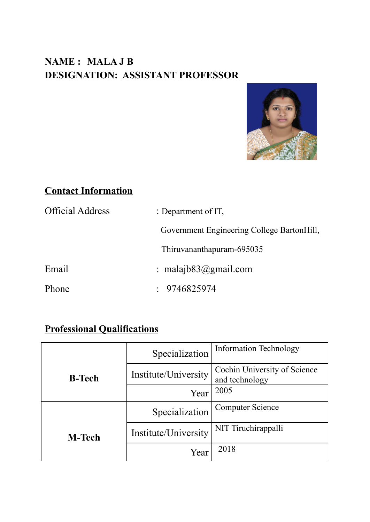# **NAME : MALA J B DESIGNATION: ASSISTANT PROFESSOR**



## **Contact Information**

| <b>Official Address</b> | : Department of $IT$ ,                     |  |
|-------------------------|--------------------------------------------|--|
|                         | Government Engineering College BartonHill, |  |
|                         | Thiruvananthapuram-695035                  |  |
| Email                   | : malajb $83$ @gmail.com                   |  |
| Phone                   | $\div$ 9746825974                          |  |

## **Professional Qualifications**

|               | Specialization       | <b>Information Technology</b>                  |
|---------------|----------------------|------------------------------------------------|
| <b>B-Tech</b> | Institute/University | Cochin University of Science<br>and technology |
|               | Year                 | 2005                                           |
|               | Specialization       | <b>Computer Science</b>                        |
| <b>M-Tech</b> | Institute/University | NIT Tiruchirappalli                            |
|               | Year                 | 2018                                           |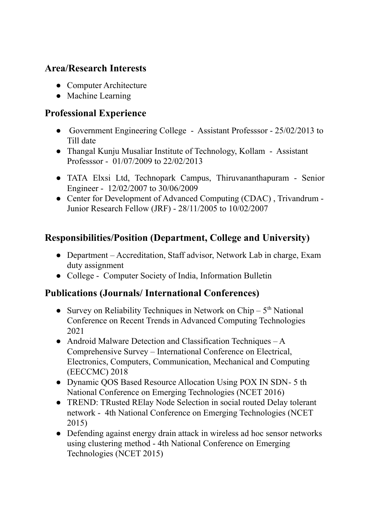#### **Area/Research Interests**

- Computer Architecture
- Machine Learning

### **Professional Experience**

- Government Engineering College Assistant Professsor 25/02/2013 to Till date
- Thangal Kunju Musaliar Institute of Technology, Kollam Assistant Professsor - 01/07/2009 to 22/02/2013
- TATA Elxsi Ltd, Technopark Campus, Thiruvananthapuram Senior Engineer - 12/02/2007 to 30/06/2009
- Center for Development of Advanced Computing (CDAC), Trivandrum -Junior Research Fellow (JRF) - 28/11/2005 to 10/02/2007

## **Responsibilities/Position (Department, College and University)**

- Department Accreditation, Staff advisor, Network Lab in charge, Exam duty assignment
- College Computer Society of India, Information Bulletin

### **Publications (Journals/ International Conferences)**

- Survey on Reliability Techniques in Network on Chip  $-5<sup>th</sup>$  National Conference on Recent Trends in Advanced Computing Technologies 2021
- Android Malware Detection and Classification Techniques  $-A$ Comprehensive Survey – International Conference on Electrical, Electronics, Computers, Communication, Mechanical and Computing (EECCMC) 2018
- Dynamic QOS Based Resource Allocation Using POX IN SDN-5 th National Conference on Emerging Technologies (NCET 2016)
- TREND: TRusted RElay Node Selection in social routed Delay tolerant network - 4th National Conference on Emerging Technologies (NCET 2015)
- Defending against energy drain attack in wireless ad hoc sensor networks using clustering method - 4th National Conference on Emerging Technologies (NCET 2015)